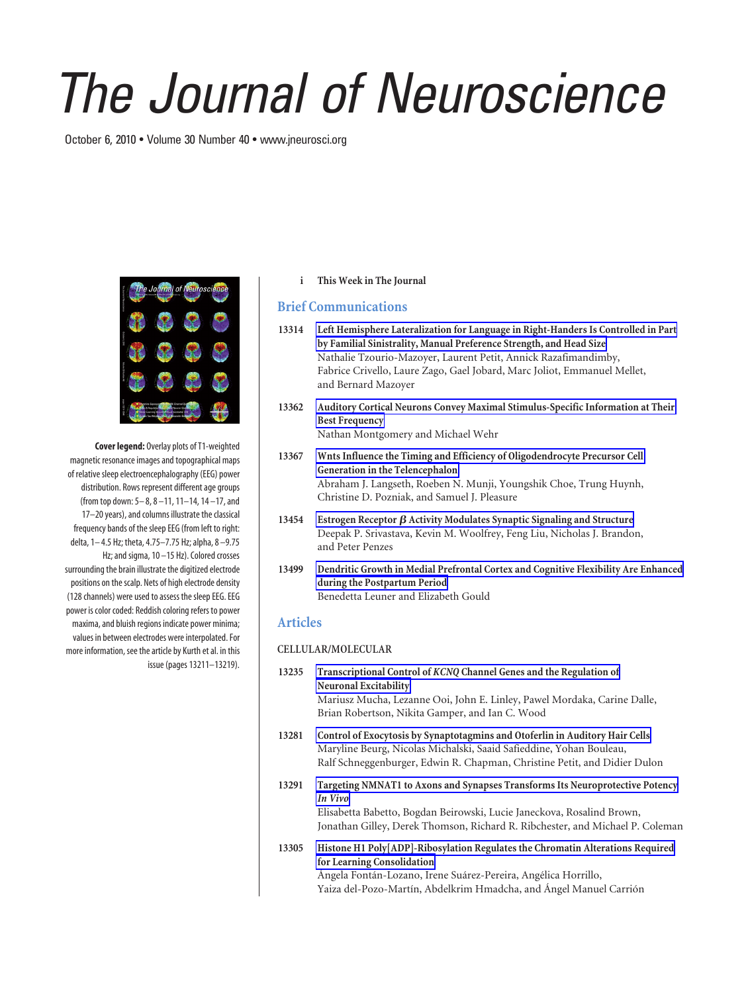# *The Journal of Neuroscience*

October 6, 2010 • Volume 30 Number 40 • www.jneurosci.org



**Cover legend:** Overlay plots of T1-weighted magnetic resonance images and topographical maps of relative sleep electroencephalography (EEG) power distribution. Rows represent different age groups (from top down: 5– 8, 8 –11, 11–14, 14 –17, and 17–20 years), and columns illustrate the classical frequency bands of the sleep EEG (from left to right: delta, 1– 4.5 Hz; theta, 4.75–7.75 Hz; alpha, 8 –9.75 Hz; and sigma, 10-15 Hz). Colored crosses surrounding the brain illustrate the digitized electrode positions on the scalp. Nets of high electrode density (128 channels) were used to assess the sleep EEG. EEG power is color coded: Reddish coloring refers to power maxima, and bluish regions indicate power minima; values in between electrodes were interpolated. For more information, see the article by Kurth et al. in this issue (pages 13211–13219).

## **i This Week in The Journal**

# **Brief Communications**

- **13314 Left Hemisphere Lateralization for Language in Right-Handers Is Controlled in Part by Familial Sinistrality, Manual Preference Strength, and Head Size** Nathalie Tzourio-Mazoyer, Laurent Petit, Annick Razafimandimby, Fabrice Crivello, Laure Zago, Gael Jobard, Marc Joliot, Emmanuel Mellet, and Bernard Mazoyer
- **13362 Auditory Cortical Neurons Convey Maximal Stimulus-Specific Information at Their Best Frequency** Nathan Montgomery and Michael Wehr
- **13367 Wnts Influence the Timing and Efficiency of Oligodendrocyte Precursor Cell Generation in the Telencephalon** Abraham J. Langseth, Roeben N. Munji, Youngshik Choe, Trung Huynh, Christine D. Pozniak, and Samuel J. Pleasure
- **13454 Estrogen Receptor Activity Modulates Synaptic Signaling and Structure** Deepak P. Srivastava, Kevin M. Woolfrey, Feng Liu, Nicholas J. Brandon, and Peter Penzes
- **13499 Dendritic Growth in Medial Prefrontal Cortex and Cognitive Flexibility Are Enhanced during the Postpartum Period** Benedetta Leuner and Elizabeth Gould

# **Articles**

## **CELLULAR/MOLECULAR**

- **13235 Transcriptional Control of** *KCNQ* **Channel Genes and the Regulation of Neuronal Excitability** Mariusz Mucha, Lezanne Ooi, John E. Linley, Pawel Mordaka, Carine Dalle, Brian Robertson, Nikita Gamper, and Ian C. Wood
- **13281 Control of Exocytosis by Synaptotagmins and Otoferlin in Auditory Hair Cells** Maryline Beurg, Nicolas Michalski, Saaid Safieddine, Yohan Bouleau, Ralf Schneggenburger, Edwin R. Chapman, Christine Petit, and Didier Dulon
- **13291 Targeting NMNAT1 to Axons and Synapses Transforms Its Neuroprotective Potency** *In Vivo*

Elisabetta Babetto, Bogdan Beirowski, Lucie Janeckova, Rosalind Brown, Jonathan Gilley, Derek Thomson, Richard R. Ribchester, and Michael P. Coleman

**13305 Histone H1 Poly[ADP]-Ribosylation Regulates the Chromatin Alterations Required for Learning Consolidation** Ángela Fontán-Lozano, Irene Suárez-Pereira, Angélica Horrillo, Yaiza del-Pozo-Martín, Abdelkrim Hmadcha, and Ángel Manuel Carrión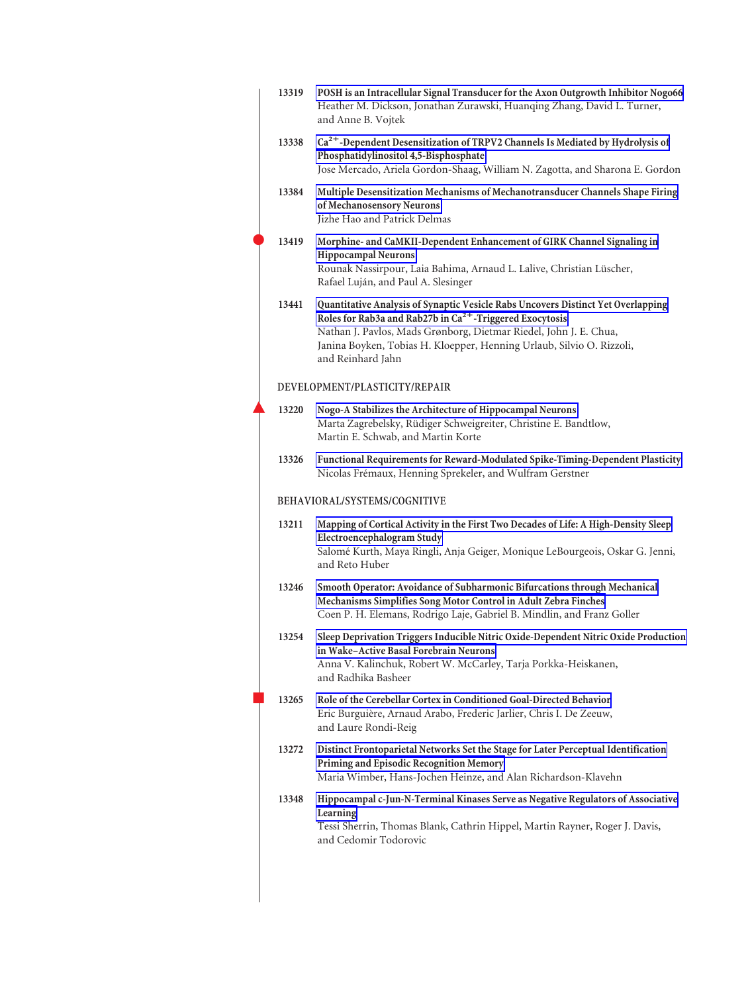| 13319 | POSH is an Intracellular Signal Transducer for the Axon Outgrowth Inhibitor Nogo66<br>Heather M. Dickson, Jonathan Zurawski, Huanqing Zhang, David L. Turner,<br>and Anne B. Vojtek                                                                                                                               |
|-------|-------------------------------------------------------------------------------------------------------------------------------------------------------------------------------------------------------------------------------------------------------------------------------------------------------------------|
| 13338 | Ca <sup>2+</sup> -Dependent Desensitization of TRPV2 Channels Is Mediated by Hydrolysis of<br>Phosphatidylinositol 4,5-Bisphosphate<br>Jose Mercado, Ariela Gordon-Shaag, William N. Zagotta, and Sharona E. Gordon                                                                                               |
| 13384 | Multiple Desensitization Mechanisms of Mechanotransducer Channels Shape Firing<br>of Mechanosensory Neurons<br>Jizhe Hao and Patrick Delmas                                                                                                                                                                       |
| 13419 | Morphine- and CaMKII-Dependent Enhancement of GIRK Channel Signaling in<br><b>Hippocampal Neurons</b><br>Rounak Nassirpour, Laia Bahima, Arnaud L. Lalive, Christian Lüscher,<br>Rafael Luján, and Paul A. Slesinger                                                                                              |
| 13441 | Quantitative Analysis of Synaptic Vesicle Rabs Uncovers Distinct Yet Overlapping<br>Roles for Rab3a and Rab27b in $Ca2+$ -Triggered Exocytosis<br>Nathan J. Pavlos, Mads Grønborg, Dietmar Riedel, John J. E. Chua,<br>Janina Boyken, Tobias H. Kloepper, Henning Urlaub, Silvio O. Rizzoli,<br>and Reinhard Jahn |
|       | DEVELOPMENT/PLASTICITY/REPAIR                                                                                                                                                                                                                                                                                     |
| 13220 | Nogo-A Stabilizes the Architecture of Hippocampal Neurons<br>Marta Zagrebelsky, Rüdiger Schweigreiter, Christine E. Bandtlow,<br>Martin E. Schwab, and Martin Korte                                                                                                                                               |
| 13326 | Functional Requirements for Reward-Modulated Spike-Timing-Dependent Plasticity<br>Nicolas Frémaux, Henning Sprekeler, and Wulfram Gerstner                                                                                                                                                                        |
|       | BEHAVIORAL/SYSTEMS/COGNITIVE                                                                                                                                                                                                                                                                                      |
| 13211 | Mapping of Cortical Activity in the First Two Decades of Life: A High-Density Sleep<br>Electroencephalogram Study<br>Salomé Kurth, Maya Ringli, Anja Geiger, Monique LeBourgeois, Oskar G. Jenni,<br>and Reto Huber                                                                                               |
| 13246 | Smooth Operator: Avoidance of Subharmonic Bifurcations through Mechanical<br>Mechanisms Simplifies Song Motor Control in Adult Zebra Finches<br>Coen P. H. Elemans, Rodrigo Laje, Gabriel B. Mindlin, and Franz Goller                                                                                            |
| 13254 | Sleep Deprivation Triggers Inducible Nitric Oxide-Dependent Nitric Oxide Production<br>in Wake-Active Basal Forebrain Neurons<br>Anna V. Kalinchuk, Robert W. McCarley, Tarja Porkka-Heiskanen,<br>and Radhika Basheer                                                                                            |
| 13265 | Role of the Cerebellar Cortex in Conditioned Goal-Directed Behavior<br>Eric Burguière, Arnaud Arabo, Frederic Jarlier, Chris I. De Zeeuw,<br>and Laure Rondi-Reig                                                                                                                                                 |
| 13272 | Distinct Frontoparietal Networks Set the Stage for Later Perceptual Identification<br>Priming and Episodic Recognition Memory<br>Maria Wimber, Hans-Jochen Heinze, and Alan Richardson-Klavehn                                                                                                                    |
| 13348 | Hippocampal c-Jun-N-Terminal Kinases Serve as Negative Regulators of Associative<br>Learning<br>Tessi Sherrin, Thomas Blank, Cathrin Hippel, Martin Rayner, Roger J. Davis,<br>and Cedomir Todorovic                                                                                                              |
|       |                                                                                                                                                                                                                                                                                                                   |